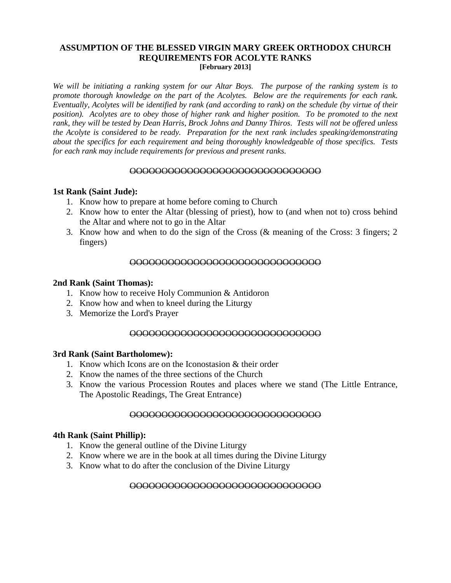### **ASSUMPTION OF THE BLESSED VIRGIN MARY GREEK ORTHODOX CHURCH REQUIREMENTS FOR ACOLYTE RANKS [February 2013]**

*We will be initiating a ranking system for our Altar Boys. The purpose of the ranking system is to promote thorough knowledge on the part of the Acolytes. Below are the requirements for each rank. Eventually, Acolytes will be identified by rank (and according to rank) on the schedule (by virtue of their position). Acolytes are to obey those of higher rank and higher position. To be promoted to the next rank, they will be tested by Dean Harris, Brock Johns and Danny Thiros. Tests will not be offered unless the Acolyte is considered to be ready. Preparation for the next rank includes speaking/demonstrating about the specifics for each requirement and being thoroughly knowledgeable of those specifics. Tests for each rank may include requirements for previous and present ranks.*

#### OOOOOOOOOOOOOOOOOOOOOOOOOOOOOO

### **1st Rank (Saint Jude):**

- 1. Know how to prepare at home before coming to Church
- 2. Know how to enter the Altar (blessing of priest), how to (and when not to) cross behind the Altar and where not to go in the Altar
- 3. Know how and when to do the sign of the Cross (& meaning of the Cross: 3 fingers; 2 fingers)

### OOOOOOOOOOOOOOOOOOOOOOOOOOOOOO

#### **2nd Rank (Saint Thomas):**

- 1. Know how to receive Holy Communion & Antidoron
- 2. Know how and when to kneel during the Liturgy
- 3. Memorize the Lord's Prayer

#### OOOOOOOOOOOOOOOOOOOOOOOOOOOOOO

#### **3rd Rank (Saint Bartholomew):**

- 1. Know which Icons are on the Iconostasion & their order
- 2. Know the names of the three sections of the Church
- 3. Know the various Procession Routes and places where we stand (The Little Entrance, The Apostolic Readings, The Great Entrance)

#### OOOOOOOOOOOOOOOOOOOOOOOOOOOOOO

## **4th Rank (Saint Phillip):**

- 1. Know the general outline of the Divine Liturgy
- 2. Know where we are in the book at all times during the Divine Liturgy
- 3. Know what to do after the conclusion of the Divine Liturgy

## OOOOOOOOOOOOOOOOOOOOOOOOOOOOOO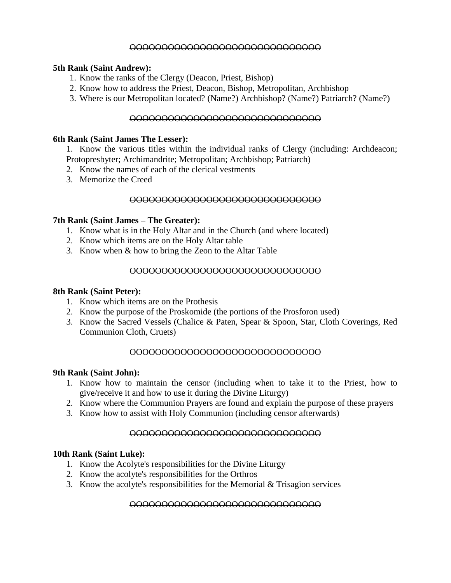## OOOOOOOOOOOOOOOOOOOOOOOOOOOOOO

## **5th Rank (Saint Andrew):**

- 1. Know the ranks of the Clergy (Deacon, Priest, Bishop)
- 2. Know how to address the Priest, Deacon, Bishop, Metropolitan, Archbishop
- 3. Where is our Metropolitan located? (Name?) Archbishop? (Name?) Patriarch? (Name?)

## OOOOOOOOOOOOOOOOOOOOOOOOOOOOOO

### **6th Rank (Saint James The Lesser):**

1. Know the various titles within the individual ranks of Clergy (including: Archdeacon; Protopresbyter; Archimandrite; Metropolitan; Archbishop; Patriarch)

- 2. Know the names of each of the clerical vestments
- 3. Memorize the Creed

#### OOOOOOOOOOOOOOOOOOOOOOOOOOOOOO

### **7th Rank (Saint James – The Greater):**

- 1. Know what is in the Holy Altar and in the Church (and where located)
- 2. Know which items are on the Holy Altar table
- 3. Know when & how to bring the Zeon to the Altar Table

## OOOOOOOOOOOOOOOOOOOOOOOOOOOOOO

### **8th Rank (Saint Peter):**

- 1. Know which items are on the Prothesis
- 2. Know the purpose of the Proskomide (the portions of the Prosforon used)
- 3. Know the Sacred Vessels (Chalice & Paten, Spear & Spoon, Star, Cloth Coverings, Red Communion Cloth, Cruets)

## OOOOOOOOOOOOOOOOOOOOOOOOOOOOOO

### **9th Rank (Saint John):**

- 1. Know how to maintain the censor (including when to take it to the Priest, how to give/receive it and how to use it during the Divine Liturgy)
- 2. Know where the Communion Prayers are found and explain the purpose of these prayers
- 3. Know how to assist with Holy Communion (including censor afterwards)

## OOOOOOOOOOOOOOOOOOOOOOOOOOOOOO

## **10th Rank (Saint Luke):**

- 1. Know the Acolyte's responsibilities for the Divine Liturgy
- 2. Know the acolyte's responsibilities for the Orthros
- 3. Know the acolyte's responsibilities for the Memorial & Trisagion services

## OOOOOOOOOOOOOOOOOOOOOOOOOOOOOO